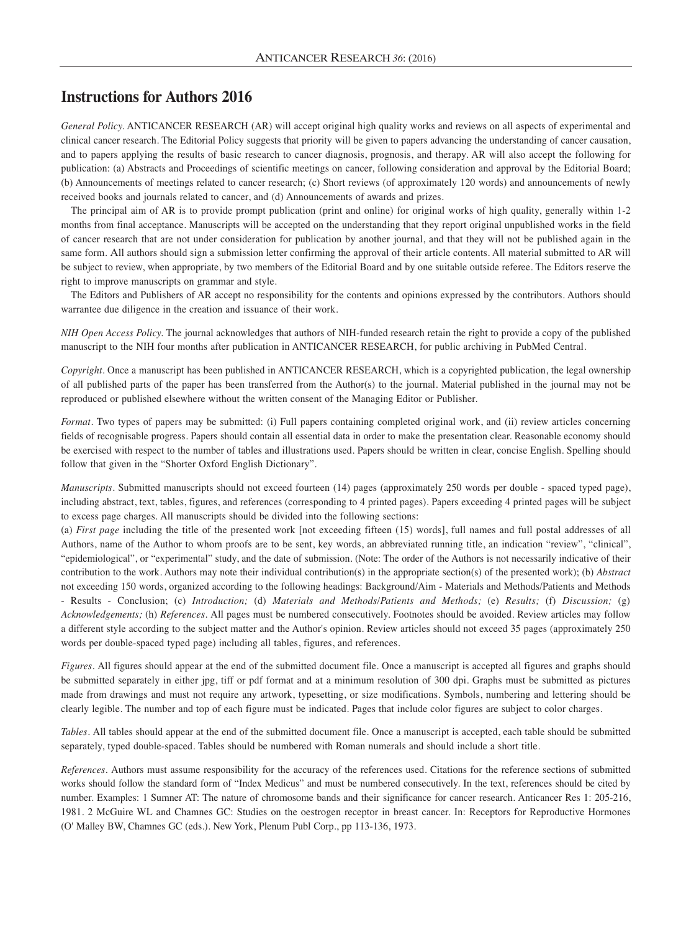# **Instructions for Authors 2016**

*General Policy.* ANTICANCER RESEARCH (AR) will accept original high quality works and reviews on all aspects of experimental and clinical cancer research. The Editorial Policy suggests that priority will be given to papers advancing the understanding of cancer causation, and to papers applying the results of basic research to cancer diagnosis, prognosis, and therapy. AR will also accept the following for publication: (a) Abstracts and Proceedings of scientific meetings on cancer, following consideration and approval by the Editorial Board; (b) Announcements of meetings related to cancer research; (c) Short reviews (of approximately 120 words) and announcements of newly received books and journals related to cancer, and (d) Announcements of awards and prizes.

The principal aim of AR is to provide prompt publication (print and online) for original works of high quality, generally within 1-2 months from final acceptance. Manuscripts will be accepted on the understanding that they report original unpublished works in the field of cancer research that are not under consideration for publication by another journal, and that they will not be published again in the same form. All authors should sign a submission letter confirming the approval of their article contents. All material submitted to AR will be subject to review, when appropriate, by two members of the Editorial Board and by one suitable outside referee. The Editors reserve the right to improve manuscripts on grammar and style.

The Editors and Publishers of AR accept no responsibility for the contents and opinions expressed by the contributors. Authors should warrantee due diligence in the creation and issuance of their work.

*NIH Open Access Policy.* The journal acknowledges that authors of NIH-funded research retain the right to provide a copy of the published manuscript to the NIH four months after publication in ANTICANCER RESEARCH, for public archiving in PubMed Central.

*Copyright.* Once a manuscript has been published in ANTICANCER RESEARCH, which is a copyrighted publication, the legal ownership of all published parts of the paper has been transferred from the Author(s) to the journal. Material published in the journal may not be reproduced or published elsewhere without the written consent of the Managing Editor or Publisher.

*Format.* Two types of papers may be submitted: (i) Full papers containing completed original work, and (ii) review articles concerning fields of recognisable progress. Papers should contain all essential data in order to make the presentation clear. Reasonable economy should be exercised with respect to the number of tables and illustrations used. Papers should be written in clear, concise English. Spelling should follow that given in the "Shorter Oxford English Dictionary".

*Manuscripts*. Submitted manuscripts should not exceed fourteen (14) pages (approximately 250 words per double - spaced typed page), including abstract, text, tables, figures, and references (corresponding to 4 printed pages). Papers exceeding 4 printed pages will be subject to excess page charges. All manuscripts should be divided into the following sections:

(a) *First page* including the title of the presented work [not exceeding fifteen (15) words], full names and full postal addresses of all Authors, name of the Author to whom proofs are to be sent, key words, an abbreviated running title, an indication "review", "clinical", "epidemiological", or "experimental" study, and the date of submission. (Note: The order of the Authors is not necessarily indicative of their contribution to the work. Authors may note their individual contribution(s) in the appropriate section(s) of the presented work); (b) *Abstract* not exceeding 150 words, organized according to the following headings: Background/Aim - Materials and Methods/Patients and Methods - Results - Conclusion; (c) *Introduction;* (d) *Materials and Methods/Patients and Methods;* (e) *Results;* (f) *Discussion;* (g) *Acknowledgements;* (h) *References.* All pages must be numbered consecutively. Footnotes should be avoided. Review articles may follow a different style according to the subject matter and the Author's opinion. Review articles should not exceed 35 pages (approximately 250 words per double-spaced typed page) including all tables, figures, and references.

*Figures.* All figures should appear at the end of the submitted document file. Once a manuscript is accepted all figures and graphs should be submitted separately in either jpg, tiff or pdf format and at a minimum resolution of 300 dpi. Graphs must be submitted as pictures made from drawings and must not require any artwork, typesetting, or size modifications. Symbols, numbering and lettering should be clearly legible. The number and top of each figure must be indicated. Pages that include color figures are subject to color charges.

*Tables.* All tables should appear at the end of the submitted document file. Once a manuscript is accepted, each table should be submitted separately, typed double-spaced. Tables should be numbered with Roman numerals and should include a short title.

*References.* Authors must assume responsibility for the accuracy of the references used. Citations for the reference sections of submitted works should follow the standard form of "Index Medicus" and must be numbered consecutively. In the text, references should be cited by number. Examples: 1 Sumner AT: The nature of chromosome bands and their significance for cancer research. Anticancer Res 1: 205-216, 1981. 2 McGuire WL and Chamnes GC: Studies on the oestrogen receptor in breast cancer. In: Receptors for Reproductive Hormones (O' Malley BW, Chamnes GC (eds.). New York, Plenum Publ Corp., pp 113-136, 1973.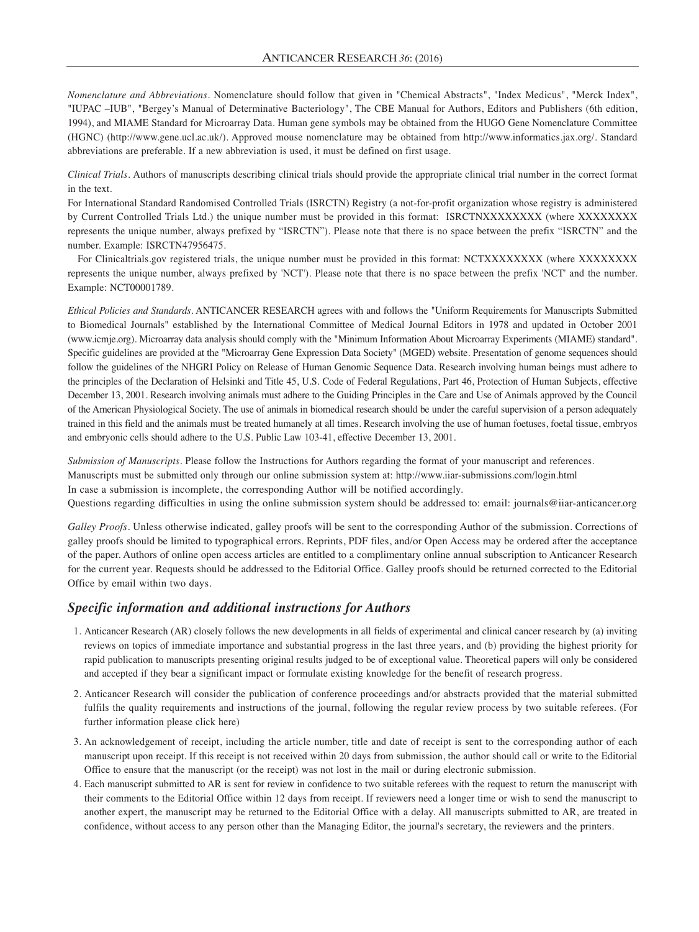*Nomenclature and Abbreviations.* Nomenclature should follow that given in "Chemical Abstracts", "Index Medicus", "Merck Index", "IUPAC –IUB", "Bergey's Manual of Determinative Bacteriology", The CBE Manual for Authors, Editors and Publishers (6th edition, 1994), and MIAME Standard for Microarray Data. Human gene symbols may be obtained from the HUGO Gene Nomenclature Committee (HGNC) (http://www.gene.ucl.ac.uk/). Approved mouse nomenclature may be obtained from http://www.informatics.jax.org/. Standard abbreviations are preferable. If a new abbreviation is used, it must be defined on first usage.

*Clinical Trials.* Authors of manuscripts describing clinical trials should provide the appropriate clinical trial number in the correct format in the text.

For International Standard Randomised Controlled Trials (ISRCTN) Registry (a not-for-profit organization whose registry is administered by Current Controlled Trials Ltd.) the unique number must be provided in this format: ISRCTNXXXXXXXX (where XXXXXXXX represents the unique number, always prefixed by "ISRCTN"). Please note that there is no space between the prefix "ISRCTN" and the number. Example: ISRCTN47956475.

For Clinicaltrials.gov registered trials, the unique number must be provided in this format: NCTXXXXXXXX (where XXXXXXXX represents the unique number, always prefixed by 'NCT'). Please note that there is no space between the prefix 'NCT' and the number. Example: NCT00001789.

*Ethical Policies and Standards.* ANTICANCER RESEARCH agrees with and follows the "Uniform Requirements for Manuscripts Submitted to Biomedical Journals" established by the International Committee of Medical Journal Editors in 1978 and updated in October 2001 (www.icmje.org). Microarray data analysis should comply with the "Minimum Information About Microarray Experiments (MIAME) standard". Specific guidelines are provided at the "Microarray Gene Expression Data Society" (MGED) website. Presentation of genome sequences should follow the guidelines of the NHGRI Policy on Release of Human Genomic Sequence Data. Research involving human beings must adhere to the principles of the Declaration of Helsinki and Title 45, U.S. Code of Federal Regulations, Part 46, Protection of Human Subjects, effective December 13, 2001. Research involving animals must adhere to the Guiding Principles in the Care and Use of Animals approved by the Council of the American Physiological Society. The use of animals in biomedical research should be under the careful supervision of a person adequately trained in this field and the animals must be treated humanely at all times. Research involving the use of human foetuses, foetal tissue, embryos and embryonic cells should adhere to the U.S. Public Law 103-41, effective December 13, 2001.

*Submission of Manuscripts.* Please follow the Instructions for Authors regarding the format of your manuscript and references. Manuscripts must be submitted only through our online submission system at: http://www.iiar-submissions.com/login.html In case a submission is incomplete, the corresponding Author will be notified accordingly.

Questions regarding difficulties in using the online submission system should be addressed to: email: journals@iiar-anticancer.org

*Galley Proofs*. Unless otherwise indicated, galley proofs will be sent to the corresponding Author of the submission. Corrections of galley proofs should be limited to typographical errors. Reprints, PDF files, and/or Open Access may be ordered after the acceptance of the paper. Authors of online open access articles are entitled to a complimentary online annual subscription to Anticancer Research for the current year. Requests should be addressed to the Editorial Office. Galley proofs should be returned corrected to the Editorial Office by email within two days.

## *Specific information and additional instructions for Authors*

- 1. Anticancer Research (AR) closely follows the new developments in all fields of experimental and clinical cancer research by (a) inviting reviews on topics of immediate importance and substantial progress in the last three years, and (b) providing the highest priority for rapid publication to manuscripts presenting original results judged to be of exceptional value. Theoretical papers will only be considered and accepted if they bear a significant impact or formulate existing knowledge for the benefit of research progress.
- 2. Anticancer Research will consider the publication of conference proceedings and/or abstracts provided that the material submitted fulfils the quality requirements and instructions of the journal, following the regular review process by two suitable referees. (For further information please click here)
- 3. An acknowledgement of receipt, including the article number, title and date of receipt is sent to the corresponding author of each manuscript upon receipt. If this receipt is not received within 20 days from submission, the author should call or write to the Editorial Office to ensure that the manuscript (or the receipt) was not lost in the mail or during electronic submission.
- 4. Each manuscript submitted to AR is sent for review in confidence to two suitable referees with the request to return the manuscript with their comments to the Editorial Office within 12 days from receipt. If reviewers need a longer time or wish to send the manuscript to another expert, the manuscript may be returned to the Editorial Office with a delay. All manuscripts submitted to AR, are treated in confidence, without access to any person other than the Managing Editor, the journal's secretary, the reviewers and the printers.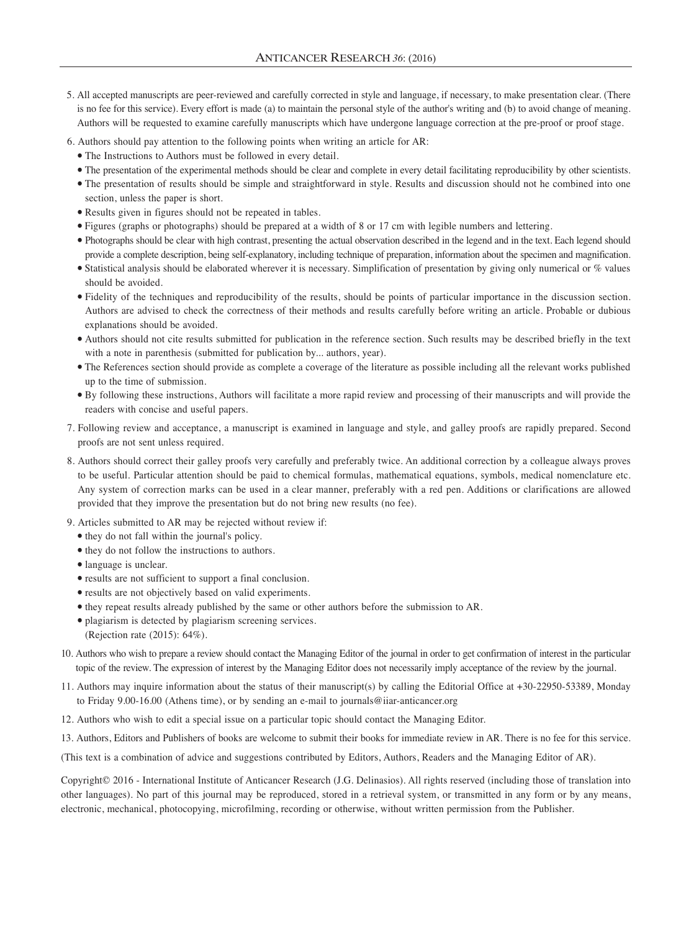- 5. All accepted manuscripts are peer-reviewed and carefully corrected in style and language, if necessary, to make presentation clear. (There is no fee for this service). Every effort is made (a) to maintain the personal style of the author's writing and (b) to avoid change of meaning. Authors will be requested to examine carefully manuscripts which have undergone language correction at the pre-proof or proof stage.
- 6. Authors should pay attention to the following points when writing an article for AR:
	- The Instructions to Authors must be followed in every detail.
	- The presentation of the experimental methods should be clear and complete in every detail facilitating reproducibility by other scientists.
	- The presentation of results should be simple and straightforward in style. Results and discussion should not he combined into one section, unless the paper is short.
	- Results given in figures should not be repeated in tables.
	- Figures (graphs or photographs) should be prepared at a width of 8 or 17 cm with legible numbers and lettering.
	- Photographs should be clear with high contrast, presenting the actual observation described in the legend and in the text. Each legend should provide a complete description, being self-explanatory, including technique of preparation, information about the specimen and magnification.
	- Statistical analysis should be elaborated wherever it is necessary. Simplification of presentation by giving only numerical or % values should be avoided.
	- Fidelity of the techniques and reproducibility of the results, should be points of particular importance in the discussion section. Authors are advised to check the correctness of their methods and results carefully before writing an article. Probable or dubious explanations should be avoided.
	- Authors should not cite results submitted for publication in the reference section. Such results may be described briefly in the text with a note in parenthesis (submitted for publication by... authors, year).
	- The References section should provide as complete a coverage of the literature as possible including all the relevant works published up to the time of submission.
	- By following these instructions, Authors will facilitate a more rapid review and processing of their manuscripts and will provide the readers with concise and useful papers.
- 7. Following review and acceptance, a manuscript is examined in language and style, and galley proofs are rapidly prepared. Second proofs are not sent unless required.
- 8. Authors should correct their galley proofs very carefully and preferably twice. An additional correction by a colleague always proves to be useful. Particular attention should be paid to chemical formulas, mathematical equations, symbols, medical nomenclature etc. Any system of correction marks can be used in a clear manner, preferably with a red pen. Additions or clarifications are allowed provided that they improve the presentation but do not bring new results (no fee).
- 9. Articles submitted to AR may be rejected without review if:
- they do not fall within the journal's policy.
- they do not follow the instructions to authors.
- language is unclear.
- results are not sufficient to support a final conclusion.
- results are not objectively based on valid experiments.
- they repeat results already published by the same or other authors before the submission to AR.
- plagiarism is detected by plagiarism screening services. (Rejection rate (2015): 64%).
- 10. Authors who wish to prepare a review should contact the Managing Editor of the journal in order to get confirmation of interest in the particular topic of the review. The expression of interest by the Managing Editor does not necessarily imply acceptance of the review by the journal.
- 11. Authors may inquire information about the status of their manuscript(s) by calling the Editorial Office at +30-22950-53389, Monday to Friday 9.00-16.00 (Athens time), or by sending an e-mail to journals@iiar-anticancer.org
- 12. Authors who wish to edit a special issue on a particular topic should contact the Managing Editor.
- 13. Authors, Editors and Publishers of books are welcome to submit their books for immediate review in AR. There is no fee for this service.

(This text is a combination of advice and suggestions contributed by Editors, Authors, Readers and the Managing Editor of AR).

Copyright© 2016 - International Institute of Anticancer Research (J.G. Delinasios). All rights reserved (including those of translation into other languages). No part of this journal may be reproduced, stored in a retrieval system, or transmitted in any form or by any means, electronic, mechanical, photocopying, microfilming, recording or otherwise, without written permission from the Publisher.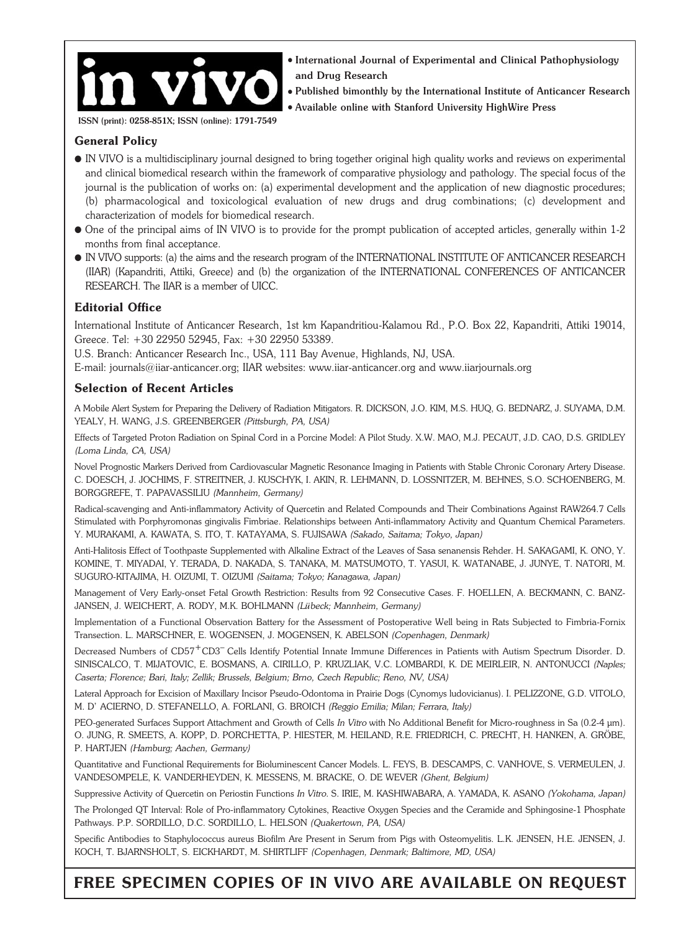

 $\bullet$  International Journal of Experimental and Clinical Pathophysiology and Drug Research

 $\bullet$  Published bimonthly by the International Institute of Anticancer Research <sup>l</sup> Available online with Stanford University HighWire Press

ISSN (print): 0258-851X; ISSN (online): 1791-7549

#### **General Policy**

- l IN VIVO is a multidisciplinary journal designed to bring together original high quality works and reviews on experimental and clinical biomedical research within the framework of comparative physiology and pathology. The special focus of the journal is the publication of works on: (a) experimental development and the application of new diagnostic procedures; (b) pharmacological and toxicological evaluation of new drugs and drug combinations; (c) development and characterization of models for biomedical research.
- l One of the principal aims of IN VIVO is to provide for the prompt publication of accepted articles, generally within 1-2 months from final acceptance.
- l IN VIVO supports: (a) the aims and the research program of the INTERNATIONAL INSTITUTE OF ANTICANCER RESEARCH (IIAR) (Kapandriti, Attiki, Greece) and (b) the organization of the INTERNATIONAL CONFERENCES OF ANTICANCER RESEARCH. The IIAR is a member of UICC.

## **Editorial Office**

International Institute of Anticancer Research, 1st km Kapandritiou-Kalamou Rd., P.O. Box 22, Kapandriti, Attiki 19014, Greece. Tel: +30 22950 52945, Fax: +30 22950 53389.

U.S. Branch: Anticancer Research Inc., USA, 111 Bay Avenue, Highlands, NJ, USA.

E-mail: journals@iiar-anticancer.org; IIAR websites: www.iiar-anticancer.org and www.iiarjournals.org

#### **Selection of Recent Articles**

A Mobile Alert System for Preparing the Delivery of Radiation Mitigators. R. DICKSON, J.O. KIM, M.S. HUQ, G. BEDNARZ, J. SUYAMA, D.M. YEALY, H. WANG, J.S. GREENBERGER *(Pittsburgh, PA, USA)*

Effects of Targeted Proton Radiation on Spinal Cord in a Porcine Model: A Pilot Study. X.W. MAO, M.J. PECAUT, J.D. CAO, D.S. GRIDLEY *(Loma Linda, CA, USA)*

Novel Prognostic Markers Derived from Cardiovascular Magnetic Resonance Imaging in Patients with Stable Chronic Coronary Artery Disease. C. DOESCH, J. JOCHIMS, F. STREITNER, J. KUSCHYK, I. AKIN, R. LEHMANN, D. LOSSNITZER, M. BEHNES, S.O. SCHOENBERG, M. BORGGREFE, T. PAPAVASSILIU *(Mannheim, Germany)*

Radical-scavenging and Anti-inflammatory Activity of Quercetin and Related Compounds and Their Combinations Against RAW264.7 Cells Stimulated with Porphyromonas gingivalis Fimbriae. Relationships between Anti-inflammatory Activity and Quantum Chemical Parameters. Y. MURAKAMI, A. KAWATA, S. ITO, T. KATAYAMA, S. FUJISAWA *(Sakado, Saitama; Tokyo, Japan)*

Anti-Halitosis Effect of Toothpaste Supplemented with Alkaline Extract of the Leaves of Sasa senanensis Rehder. H. SAKAGAMI, K. ONO, Y. KOMINE, T. MIYADAI, Y. TERADA, D. NAKADA, S. TANAKA, M. MATSUMOTO, T. YASUI, K. WATANABE, J. JUNYE, T. NATORI, M. SUGURO-KITAJIMA, H. OIZUMI, T. OIZUMI *(Saitama; Tokyo; Kanagawa, Japan)*

Management of Very Early-onset Fetal Growth Restriction: Results from 92 Consecutive Cases. F. HOELLEN, A. BECKMANN, C. BANZ-JANSEN, J. WEICHERT, A. RODY, M.K. BOHLMANN *(Lübeck; Mannheim, Germany)*

Implementation of a Functional Observation Battery for the Assessment of Postoperative Well being in Rats Subjected to Fimbria-Fornix Transection. L. MARSCHNER, E. WOGENSEN, J. MOGENSEN, K. ABELSON *(Copenhagen, Denmark)*

Decreased Numbers of CD57+CD3– Cells Identify Potential Innate Immune Differences in Patients with Autism Spectrum Disorder. D. SINISCALCO, T. MIJATOVIC, E. BOSMANS, A. CIRILLO, P. KRUZLIAK, V.C. LOMBARDI, K. DE MEIRLEIR, N. ANTONUCCI *(Naples; Caserta; Florence; Bari, Italy; Zellik; Brussels, Belgium; Brno, Czech Republic; Reno, NV, USA)*

Lateral Approach for Excision of Maxillary Incisor Pseudo-Odontoma in Prairie Dogs (Cynomys ludovicianus). I. PELIZZONE, G.D. VITOLO, M. D' ACIERNO, D. STEFANELLO, A. FORLANI, G. BROICH *(Reggio Emilia; Milan; Ferrara, Italy)*

PEO-generated Surfaces Support Attachment and Growth of Cells *In Vitro* with No Additional Benefit for Micro-roughness in Sa (0.2-4 μm). O. JUNG, R. SMEETS, A. KOPP, D. PORCHETTA, P. HIESTER, M. HEILAND, R.E. FRIEDRICH, C. PRECHT, H. HANKEN, A. GRÖBE, P. HARTJEN *(Hamburg; Aachen, Germany)*

Quantitative and Functional Requirements for Bioluminescent Cancer Models. L. FEYS, B. DESCAMPS, C. VANHOVE, S. VERMEULEN, J. VANDESOMPELE, K. VANDERHEYDEN, K. MESSENS, M. BRACKE, O. DE WEVER *(Ghent, Belgium)*

Suppressive Activity of Quercetin on Periostin Functions *In Vitro*. S. IRIE, M. KASHIWABARA, A. YAMADA, K. ASANO *(Yokohama, Japan)*

The Prolonged QT Interval: Role of Pro-inflammatory Cytokines, Reactive Oxygen Species and the Ceramide and Sphingosine-1 Phosphate Pathways. P.P. SORDILLO, D.C. SORDILLO, L. HELSON *(Quakertown, PA, USA)*

Specific Antibodies to Staphylococcus aureus Biofilm Are Present in Serum from Pigs with Osteomyelitis. L.K. JENSEN, H.E. JENSEN, J. KOCH, T. BJARNSHOLT, S. EICKHARDT, M. SHIRTLIFF *(Copenhagen, Denmark; Baltimore, MD, USA)*

# **FREE SPECIMEN COPIES OF IN VIVO ARE AVAILABLE ON REQUEST**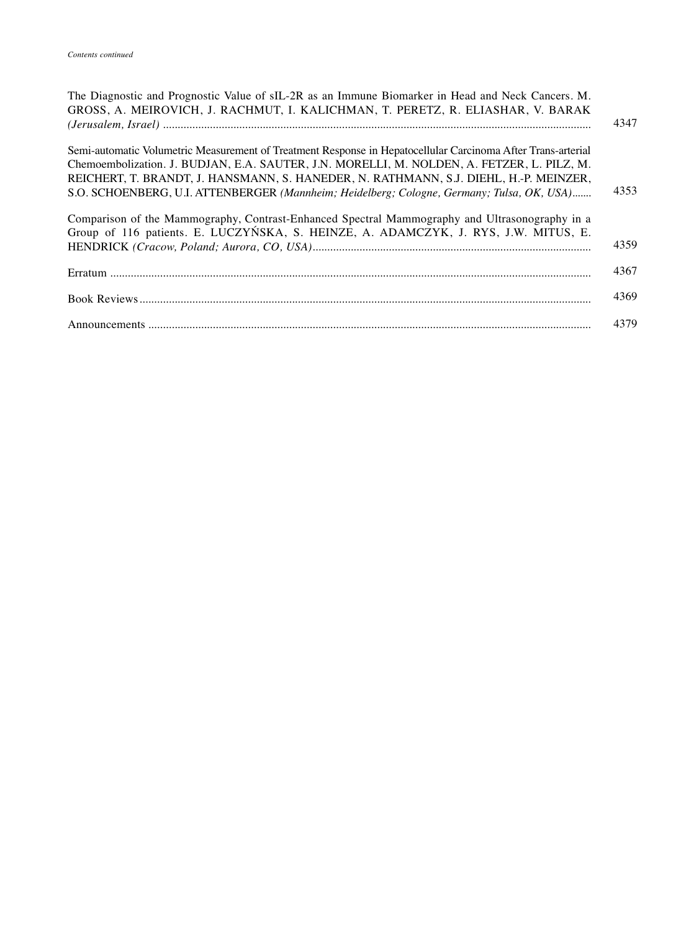| The Diagnostic and Prognostic Value of sIL-2R as an Immune Biomarker in Head and Neck Cancers. M.<br>GROSS, A. MEIROVICH, J. RACHMUT, I. KALICHMAN, T. PERETZ, R. ELIASHAR, V. BARAK                                                                                                                                                                                                              | 4347 |
|---------------------------------------------------------------------------------------------------------------------------------------------------------------------------------------------------------------------------------------------------------------------------------------------------------------------------------------------------------------------------------------------------|------|
| Semi-automatic Volumetric Measurement of Treatment Response in Hepatocellular Carcinoma After Trans-arterial<br>Chemoembolization. J. BUDJAN, E.A. SAUTER, J.N. MORELLI, M. NOLDEN, A. FETZER, L. PILZ, M.<br>REICHERT, T. BRANDT, J. HANSMANN, S. HANEDER, N. RATHMANN, S.J. DIEHL, H.-P. MEINZER,<br>S.O. SCHOENBERG, U.I. ATTENBERGER (Mannheim; Heidelberg; Cologne, Germany; Tulsa, OK, USA) | 4353 |
| Comparison of the Mammography, Contrast-Enhanced Spectral Mammography and Ultrasonography in a<br>Group of 116 patients. E. LUCZYŃSKA, S. HEINZE, A. ADAMCZYK, J. RYS, J.W. MITUS, E.                                                                                                                                                                                                             | 4359 |
|                                                                                                                                                                                                                                                                                                                                                                                                   | 4367 |
|                                                                                                                                                                                                                                                                                                                                                                                                   | 4369 |
|                                                                                                                                                                                                                                                                                                                                                                                                   | 4379 |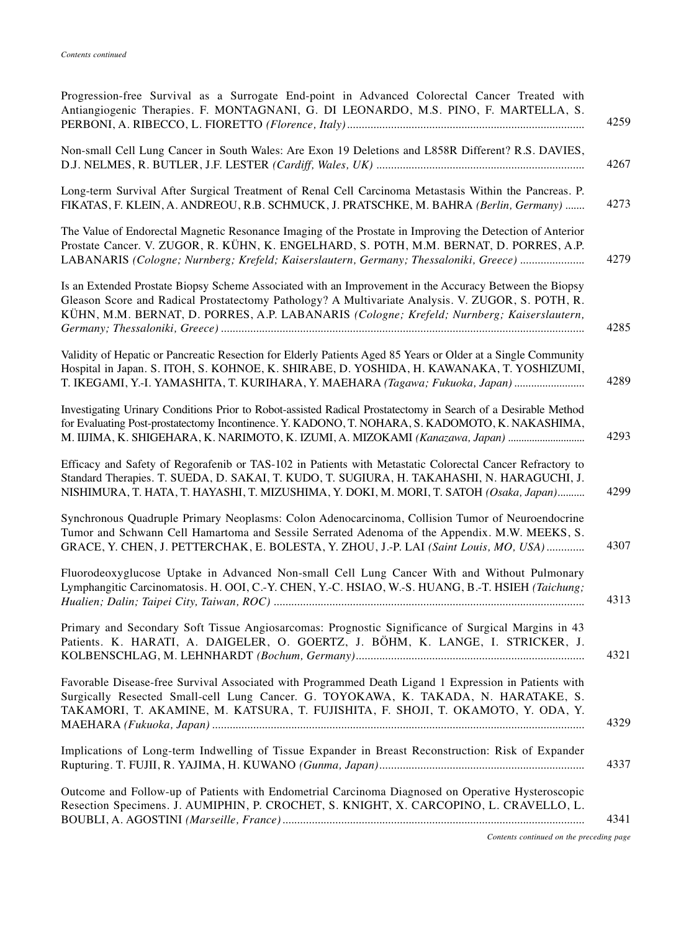| Progression-free Survival as a Surrogate End-point in Advanced Colorectal Cancer Treated with<br>Antiangiogenic Therapies. F. MONTAGNANI, G. DI LEONARDO, M.S. PINO, F. MARTELLA, S.<br>4259                                                                                                                      |
|-------------------------------------------------------------------------------------------------------------------------------------------------------------------------------------------------------------------------------------------------------------------------------------------------------------------|
| Non-small Cell Lung Cancer in South Wales: Are Exon 19 Deletions and L858R Different? R.S. DAVIES,<br>4267                                                                                                                                                                                                        |
| Long-term Survival After Surgical Treatment of Renal Cell Carcinoma Metastasis Within the Pancreas. P.<br>4273<br>FIKATAS, F. KLEIN, A. ANDREOU, R.B. SCHMUCK, J. PRATSCHKE, M. BAHRA (Berlin, Germany)                                                                                                           |
| The Value of Endorectal Magnetic Resonance Imaging of the Prostate in Improving the Detection of Anterior<br>Prostate Cancer. V. ZUGOR, R. KÜHN, K. ENGELHARD, S. POTH, M.M. BERNAT, D. PORRES, A.P.<br>LABANARIS (Cologne; Nurnberg; Krefeld; Kaiserslautern, Germany; Thessaloniki, Greece)<br>4279             |
| Is an Extended Prostate Biopsy Scheme Associated with an Improvement in the Accuracy Between the Biopsy<br>Gleason Score and Radical Prostatectomy Pathology? A Multivariate Analysis. V. ZUGOR, S. POTH, R.<br>KÜHN, M.M. BERNAT, D. PORRES, A.P. LABANARIS (Cologne; Krefeld; Nurnberg; Kaiserslautern,<br>4285 |
| Validity of Hepatic or Pancreatic Resection for Elderly Patients Aged 85 Years or Older at a Single Community<br>Hospital in Japan. S. ITOH, S. KOHNOE, K. SHIRABE, D. YOSHIDA, H. KAWANAKA, T. YOSHIZUMI,<br>4289<br>T. IKEGAMI, Y.-I. YAMASHITA, T. KURIHARA, Y. MAEHARA (Tagawa; Fukuoka, Japan)               |
| Investigating Urinary Conditions Prior to Robot-assisted Radical Prostatectomy in Search of a Desirable Method<br>for Evaluating Post-prostatectomy Incontinence. Y. KADONO, T. NOHARA, S. KADOMOTO, K. NAKASHIMA,<br>4293<br>M. IIJIMA, K. SHIGEHARA, K. NARIMOTO, K. IZUMI, A. MIZOKAMI (Kanazawa, Japan)       |
| Efficacy and Safety of Regorafenib or TAS-102 in Patients with Metastatic Colorectal Cancer Refractory to<br>Standard Therapies. T. SUEDA, D. SAKAI, T. KUDO, T. SUGIURA, H. TAKAHASHI, N. HARAGUCHI, J.<br>NISHIMURA, T. HATA, T. HAYASHI, T. MIZUSHIMA, Y. DOKI, M. MORI, T. SATOH (Osaka, Japan)<br>4299       |
| Synchronous Quadruple Primary Neoplasms: Colon Adenocarcinoma, Collision Tumor of Neuroendocrine<br>Tumor and Schwann Cell Hamartoma and Sessile Serrated Adenoma of the Appendix. M.W. MEEKS, S.<br>4307<br>GRACE, Y. CHEN, J. PETTERCHAK, E. BOLESTA, Y. ZHOU, J.-P. LAI (Saint Louis, MO, USA)                 |
| Fluorodeoxyglucose Uptake in Advanced Non-small Cell Lung Cancer With and Without Pulmonary<br>Lymphangitic Carcinomatosis. H. OOI, C.-Y. CHEN, Y.-C. HSIAO, W.-S. HUANG, B.-T. HSIEH (Taichung;<br>4313                                                                                                          |
| Primary and Secondary Soft Tissue Angiosarcomas: Prognostic Significance of Surgical Margins in 43<br>Patients. K. HARATI, A. DAIGELER, O. GOERTZ, J. BÖHM, K. LANGE, I. STRICKER, J.<br>4321                                                                                                                     |
| Favorable Disease-free Survival Associated with Programmed Death Ligand 1 Expression in Patients with<br>Surgically Resected Small-cell Lung Cancer. G. TOYOKAWA, K. TAKADA, N. HARATAKE, S.<br>TAKAMORI, T. AKAMINE, M. KATSURA, T. FUJISHITA, F. SHOJI, T. OKAMOTO, Y. ODA, Y.<br>4329                          |
| Implications of Long-term Indwelling of Tissue Expander in Breast Reconstruction: Risk of Expander<br>4337                                                                                                                                                                                                        |
| Outcome and Follow-up of Patients with Endometrial Carcinoma Diagnosed on Operative Hysteroscopic<br>Resection Specimens. J. AUMIPHIN, P. CROCHET, S. KNIGHT, X. CARCOPINO, L. CRAVELLO, L.<br>4341                                                                                                               |

*Contents continued on the preceding page*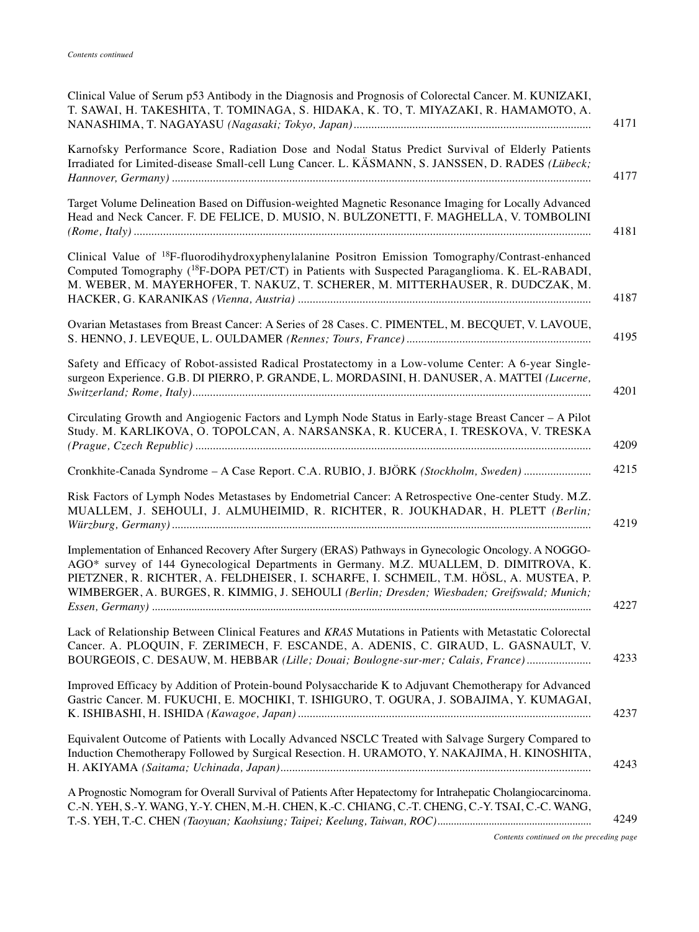| Clinical Value of Serum p53 Antibody in the Diagnosis and Prognosis of Colorectal Cancer. M. KUNIZAKI,<br>T. SAWAI, H. TAKESHITA, T. TOMINAGA, S. HIDAKA, K. TO, T. MIYAZAKI, R. HAMAMOTO, A.                                                                                                                                                                                           |
|-----------------------------------------------------------------------------------------------------------------------------------------------------------------------------------------------------------------------------------------------------------------------------------------------------------------------------------------------------------------------------------------|
| Karnofsky Performance Score, Radiation Dose and Nodal Status Predict Survival of Elderly Patients<br>Irradiated for Limited-disease Small-cell Lung Cancer. L. KÄSMANN, S. JANSSEN, D. RADES (Lübeck;                                                                                                                                                                                   |
| Target Volume Delineation Based on Diffusion-weighted Magnetic Resonance Imaging for Locally Advanced<br>Head and Neck Cancer. F. DE FELICE, D. MUSIO, N. BULZONETTI, F. MAGHELLA, V. TOMBOLINI                                                                                                                                                                                         |
| Clinical Value of <sup>18</sup> F-fluorodihydroxyphenylalanine Positron Emission Tomography/Contrast-enhanced<br>Computed Tomography ( <sup>18</sup> F-DOPA PET/CT) in Patients with Suspected Paraganglioma. K. EL-RABADI,<br>M. WEBER, M. MAYERHOFER, T. NAKUZ, T. SCHERER, M. MITTERHAUSER, R. DUDCZAK, M.                                                                           |
| Ovarian Metastases from Breast Cancer: A Series of 28 Cases. C. PIMENTEL, M. BECQUET, V. LAVOUE,                                                                                                                                                                                                                                                                                        |
| Safety and Efficacy of Robot-assisted Radical Prostatectomy in a Low-volume Center: A 6-year Single-<br>surgeon Experience. G.B. DI PIERRO, P. GRANDE, L. MORDASINI, H. DANUSER, A. MATTEI (Lucerne,                                                                                                                                                                                    |
| Circulating Growth and Angiogenic Factors and Lymph Node Status in Early-stage Breast Cancer - A Pilot<br>Study. M. KARLIKOVA, O. TOPOLCAN, A. NARSANSKA, R. KUCERA, I. TRESKOVA, V. TRESKA                                                                                                                                                                                             |
| Cronkhite-Canada Syndrome - A Case Report. C.A. RUBIO, J. BJÖRK (Stockholm, Sweden)                                                                                                                                                                                                                                                                                                     |
| Risk Factors of Lymph Nodes Metastases by Endometrial Cancer: A Retrospective One-center Study. M.Z.<br>MUALLEM, J. SEHOULI, J. ALMUHEIMID, R. RICHTER, R. JOUKHADAR, H. PLETT (Berlin;                                                                                                                                                                                                 |
| Implementation of Enhanced Recovery After Surgery (ERAS) Pathways in Gynecologic Oncology. A NOGGO-<br>AGO* survey of 144 Gynecological Departments in Germany. M.Z. MUALLEM, D. DIMITROVA, K.<br>PIETZNER, R. RICHTER, A. FELDHEISER, I. SCHARFE, I. SCHMEIL, T.M. HÖSL, A. MUSTEA, P.<br>WIMBERGER, A. BURGES, R. KIMMIG, J. SEHOULI (Berlin; Dresden; Wiesbaden; Greifswald; Munich; |
| Lack of Relationship Between Clinical Features and KRAS Mutations in Patients with Metastatic Colorectal<br>Cancer. A. PLOQUIN, F. ZERIMECH, F. ESCANDE, A. ADENIS, C. GIRAUD, L. GASNAULT, V.<br>BOURGEOIS, C. DESAUW, M. HEBBAR (Lille; Douai; Boulogne-sur-mer; Calais, France)                                                                                                      |
| Improved Efficacy by Addition of Protein-bound Polysaccharide K to Adjuvant Chemotherapy for Advanced<br>Gastric Cancer. M. FUKUCHI, E. MOCHIKI, T. ISHIGURO, T. OGURA, J. SOBAJIMA, Y. KUMAGAI,                                                                                                                                                                                        |
| Equivalent Outcome of Patients with Locally Advanced NSCLC Treated with Salvage Surgery Compared to<br>Induction Chemotherapy Followed by Surgical Resection. H. URAMOTO, Y. NAKAJIMA, H. KINOSHITA,                                                                                                                                                                                    |
| A Prognostic Nomogram for Overall Survival of Patients After Hepatectomy for Intrahepatic Cholangiocarcinoma.<br>C.-N. YEH, S.-Y. WANG, Y.-Y. CHEN, M.-H. CHEN, K.-C. CHIANG, C.-T. CHENG, C.-Y. TSAI, C.-C. WANG,                                                                                                                                                                      |
| Contents continued on the preceding page                                                                                                                                                                                                                                                                                                                                                |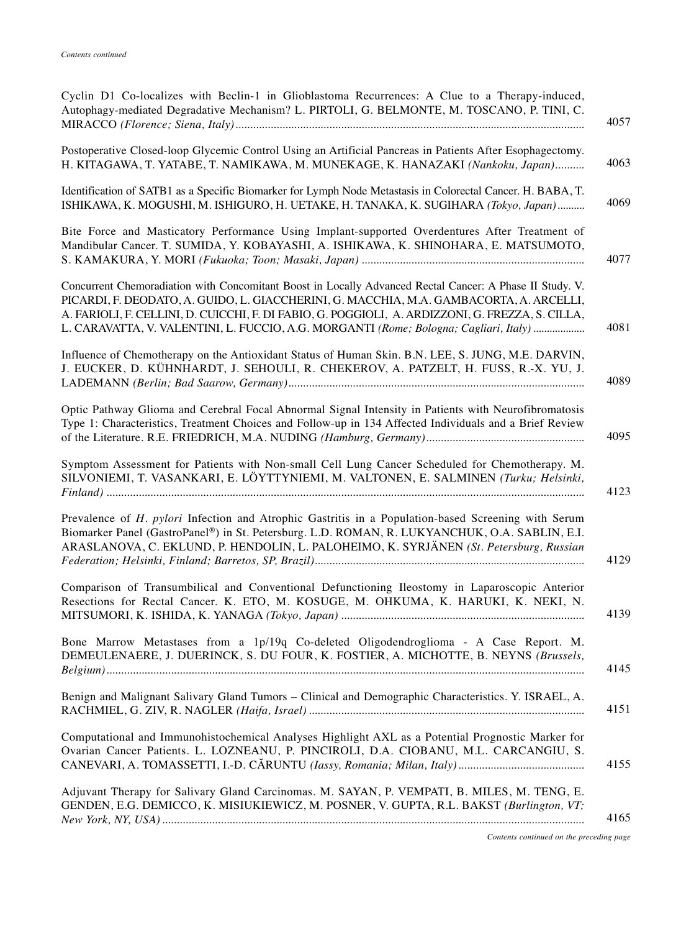| Cyclin D1 Co-localizes with Beclin-1 in Glioblastoma Recurrences: A Clue to a Therapy-induced,<br>Autophagy-mediated Degradative Mechanism? L. PIRTOLI, G. BELMONTE, M. TOSCANO, P. TINI, C.<br>4057                                                                                                                                                                                                     |
|----------------------------------------------------------------------------------------------------------------------------------------------------------------------------------------------------------------------------------------------------------------------------------------------------------------------------------------------------------------------------------------------------------|
| Postoperative Closed-loop Glycemic Control Using an Artificial Pancreas in Patients After Esophagectomy.<br>4063<br>H. KITAGAWA, T. YATABE, T. NAMIKAWA, M. MUNEKAGE, K. HANAZAKI (Nankoku, Japan)                                                                                                                                                                                                       |
| Identification of SATB1 as a Specific Biomarker for Lymph Node Metastasis in Colorectal Cancer. H. BABA, T.<br>4069<br>ISHIKAWA, K. MOGUSHI, M. ISHIGURO, H. UETAKE, H. TANAKA, K. SUGIHARA (Tokyo, Japan)                                                                                                                                                                                               |
| Bite Force and Masticatory Performance Using Implant-supported Overdentures After Treatment of<br>Mandibular Cancer. T. SUMIDA, Y. KOBAYASHI, A. ISHIKAWA, K. SHINOHARA, E. MATSUMOTO,<br>4077                                                                                                                                                                                                           |
| Concurrent Chemoradiation with Concomitant Boost in Locally Advanced Rectal Cancer: A Phase II Study. V.<br>PICARDI, F. DEODATO, A. GUIDO, L. GIACCHERINI, G. MACCHIA, M.A. GAMBACORTA, A. ARCELLI,<br>A. FARIOLI, F. CELLINI, D. CUICCHI, F. DI FABIO, G. POGGIOLI, A. ARDIZZONI, G. FREZZA, S. CILLA,<br>4081<br>L. CARAVATTA, V. VALENTINI, L. FUCCIO, A.G. MORGANTI (Rome; Bologna; Cagliari, Italy) |
| Influence of Chemotherapy on the Antioxidant Status of Human Skin. B.N. LEE, S. JUNG, M.E. DARVIN,<br>J. EUCKER, D. KÜHNHARDT, J. SEHOULI, R. CHEKEROV, A. PATZELT, H. FUSS, R.-X. YU, J.<br>4089                                                                                                                                                                                                        |
| Optic Pathway Glioma and Cerebral Focal Abnormal Signal Intensity in Patients with Neurofibromatosis<br>Type 1: Characteristics, Treatment Choices and Follow-up in 134 Affected Individuals and a Brief Review<br>4095                                                                                                                                                                                  |
| Symptom Assessment for Patients with Non-small Cell Lung Cancer Scheduled for Chemotherapy. M.<br>SILVONIEMI, T. VASANKARI, E. LÖYTTYNIEMI, M. VALTONEN, E. SALMINEN (Turku; Helsinki,<br>4123                                                                                                                                                                                                           |
| Prevalence of H. pylori Infection and Atrophic Gastritis in a Population-based Screening with Serum<br>Biomarker Panel (GastroPanel®) in St. Petersburg. L.D. ROMAN, R. LUKYANCHUK, O.A. SABLIN, E.I.<br>ARASLANOVA, C. EKLUND, P. HENDOLIN, L. PALOHEIMO, K. SYRJÄNEN (St. Petersburg, Russian<br>4129                                                                                                  |
| Comparison of Transumbilical and Conventional Defunctioning Ileostomy in Laparoscopic Anterior<br>Resections for Rectal Cancer. K. ETO, M. KOSUGE, M. OHKUMA, K. HARUKI, K. NEKI, N.<br>4139                                                                                                                                                                                                             |
| Bone Marrow Metastases from a 1p/19q Co-deleted Oligodendroglioma - A Case Report. M.<br>DEMEULENAERE, J. DUERINCK, S. DU FOUR, K. FOSTIER, A. MICHOTTE, B. NEYNS (Brussels,<br>4145                                                                                                                                                                                                                     |
| Benign and Malignant Salivary Gland Tumors - Clinical and Demographic Characteristics. Y. ISRAEL, A.<br>4151                                                                                                                                                                                                                                                                                             |
| Computational and Immunohistochemical Analyses Highlight AXL as a Potential Prognostic Marker for<br>Ovarian Cancer Patients. L. LOZNEANU, P. PINCIROLI, D.A. CIOBANU, M.L. CARCANGIU, S.<br>4155                                                                                                                                                                                                        |
| Adjuvant Therapy for Salivary Gland Carcinomas. M. SAYAN, P. VEMPATI, B. MILES, M. TENG, E.<br>GENDEN, E.G. DEMICCO, K. MISIUKIEWICZ, M. POSNER, V. GUPTA, R.L. BAKST (Burlington, VT;<br>4165                                                                                                                                                                                                           |
| Contents continued on the preceding page                                                                                                                                                                                                                                                                                                                                                                 |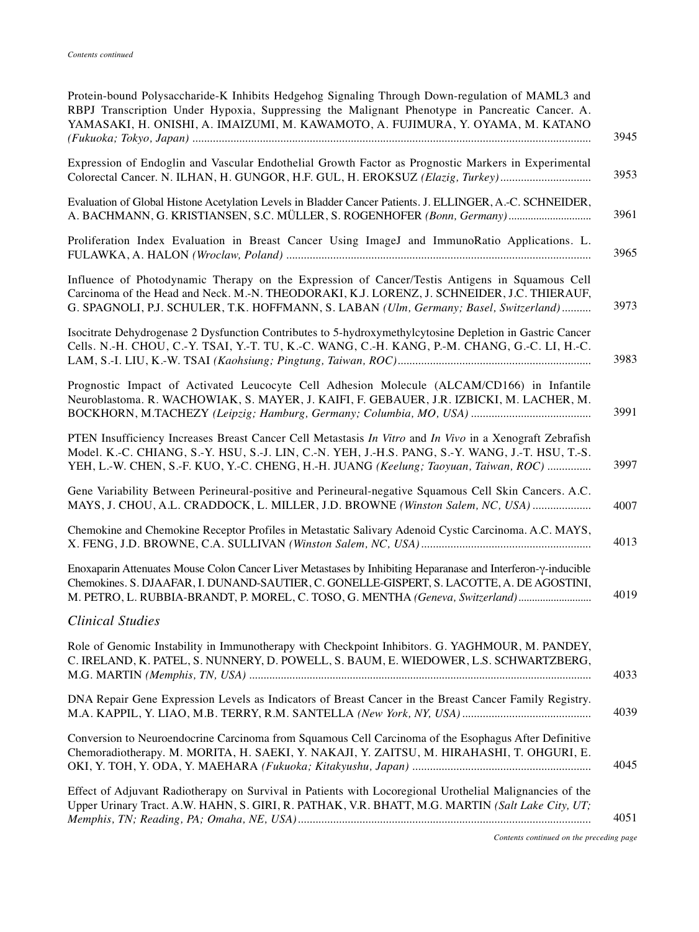| Protein-bound Polysaccharide-K Inhibits Hedgehog Signaling Through Down-regulation of MAML3 and<br>RBPJ Transcription Under Hypoxia, Suppressing the Malignant Phenotype in Pancreatic Cancer. A.<br>YAMASAKI, H. ONISHI, A. IMAIZUMI, M. KAWAMOTO, A. FUJIMURA, Y. OYAMA, M. KATANO                 |
|------------------------------------------------------------------------------------------------------------------------------------------------------------------------------------------------------------------------------------------------------------------------------------------------------|
| Expression of Endoglin and Vascular Endothelial Growth Factor as Prognostic Markers in Experimental<br>Colorectal Cancer. N. ILHAN, H. GUNGOR, H.F. GUL, H. EROKSUZ (Elazig, Turkey)                                                                                                                 |
| Evaluation of Global Histone Acetylation Levels in Bladder Cancer Patients. J. ELLINGER, A.-C. SCHNEIDER,<br>A. BACHMANN, G. KRISTIANSEN, S.C. MÜLLER, S. ROGENHOFER (Bonn, Germany)                                                                                                                 |
| Proliferation Index Evaluation in Breast Cancer Using ImageJ and ImmunoRatio Applications. L.                                                                                                                                                                                                        |
| Influence of Photodynamic Therapy on the Expression of Cancer/Testis Antigens in Squamous Cell<br>Carcinoma of the Head and Neck. M.-N. THEODORAKI, K.J. LORENZ, J. SCHNEIDER, J.C. THIERAUF,<br>G. SPAGNOLI, P.J. SCHULER, T.K. HOFFMANN, S. LABAN (Ulm, Germany; Basel, Switzerland)               |
| Isocitrate Dehydrogenase 2 Dysfunction Contributes to 5-hydroxymethylcytosine Depletion in Gastric Cancer<br>Cells. N.-H. CHOU, C.-Y. TSAI, Y.-T. TU, K.-C. WANG, C.-H. KANG, P.-M. CHANG, G.-C. LI, H.-C.                                                                                           |
| Prognostic Impact of Activated Leucocyte Cell Adhesion Molecule (ALCAM/CD166) in Infantile<br>Neuroblastoma. R. WACHOWIAK, S. MAYER, J. KAIFI, F. GEBAUER, J.R. IZBICKI, M. LACHER, M.                                                                                                               |
| PTEN Insufficiency Increases Breast Cancer Cell Metastasis In Vitro and In Vivo in a Xenograft Zebrafish<br>Model. K.-C. CHIANG, S.-Y. HSU, S.-J. LIN, C.-N. YEH, J.-H.S. PANG, S.-Y. WANG, J.-T. HSU, T.-S.<br>YEH, L.-W. CHEN, S.-F. KUO, Y.-C. CHENG, H.-H. JUANG (Keelung; Taoyuan, Taiwan, ROC) |
| Gene Variability Between Perineural-positive and Perineural-negative Squamous Cell Skin Cancers. A.C.<br>MAYS, J. CHOU, A.L. CRADDOCK, L. MILLER, J.D. BROWNE (Winston Salem, NC, USA)                                                                                                               |
| Chemokine and Chemokine Receptor Profiles in Metastatic Salivary Adenoid Cystic Carcinoma. A.C. MAYS,                                                                                                                                                                                                |
| Enoxaparin Attenuates Mouse Colon Cancer Liver Metastases by Inhibiting Heparanase and Interferon-y-inducible<br>Chemokines. S. DJAAFAR, I. DUNAND-SAUTIER, C. GONELLE-GISPERT, S. LACOTTE, A. DE AGOSTINI,<br>M. PETRO, L. RUBBIA-BRANDT, P. MOREL, C. TOSO, G. MENTHA (Geneva, Switzerland)        |
| <b>Clinical Studies</b>                                                                                                                                                                                                                                                                              |
| Role of Genomic Instability in Immunotherapy with Checkpoint Inhibitors. G. YAGHMOUR, M. PANDEY,<br>C. IRELAND, K. PATEL, S. NUNNERY, D. POWELL, S. BAUM, E. WIEDOWER, L.S. SCHWARTZBERG,                                                                                                            |
| DNA Repair Gene Expression Levels as Indicators of Breast Cancer in the Breast Cancer Family Registry.                                                                                                                                                                                               |
| Conversion to Neuroendocrine Carcinoma from Squamous Cell Carcinoma of the Esophagus After Definitive<br>Chemoradiotherapy. M. MORITA, H. SAEKI, Y. NAKAJI, Y. ZAITSU, M. HIRAHASHI, T. OHGURI, E.                                                                                                   |
| Effect of Adjuvant Radiotherapy on Survival in Patients with Locoregional Urothelial Malignancies of the<br>Upper Urinary Tract. A.W. HAHN, S. GIRI, R. PATHAK, V.R. BHATT, M.G. MARTIN (Salt Lake City, UT;                                                                                         |
|                                                                                                                                                                                                                                                                                                      |

*Contents continued on the preceding page*